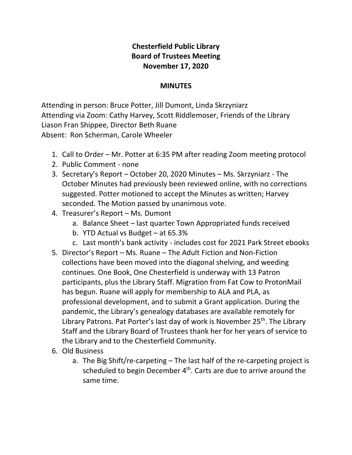## **Chesterfield Public Library Board of Trustees Meeting November 17, 2020**

## **MINUTES**

Attending in person: Bruce Potter, Jill Dumont, Linda Skrzyniarz Attending via Zoom: Cathy Harvey, Scott Riddlemoser, Friends of the Library Liason Fran Shippee, Director Beth Ruane Absent: Ron Scherman, Carole Wheeler

- 1. Call to Order Mr. Potter at 6:35 PM after reading Zoom meeting protocol
- 2. Public Comment none
- 3. Secretary's Report October 20, 2020 Minutes Ms. Skrzyniarz The October Minutes had previously been reviewed online, with no corrections suggested. Potter motioned to accept the Minutes as written; Harvey seconded. The Motion passed by unanimous vote.
- 4. Treasurer's Report Ms. Dumont
	- a. Balance Sheet last quarter Town Appropriated funds received
	- b. YTD Actual vs Budget at 65.3%
	- c. Last month's bank activity includes cost for 2021 Park Street ebooks
- 5. Director's Report Ms. Ruane The Adult Fiction and Non-Fiction collections have been moved into the diagonal shelving, and weeding continues. One Book, One Chesterfield is underway with 13 Patron participants, plus the Library Staff. Migration from Fat Cow to ProtonMail has begun. Ruane will apply for membership to ALA and PLA, as professional development, and to submit a Grant application. During the pandemic, the Library's genealogy databases are available remotely for Library Patrons. Pat Porter's last day of work is November 25<sup>th</sup>. The Library Staff and the Library Board of Trustees thank her for her years of service to the Library and to the Chesterfield Community.
- 6. Old Business
	- a. The Big Shift/re-carpeting The last half of the re-carpeting project is scheduled to begin December 4<sup>th</sup>. Carts are due to arrive around the same time.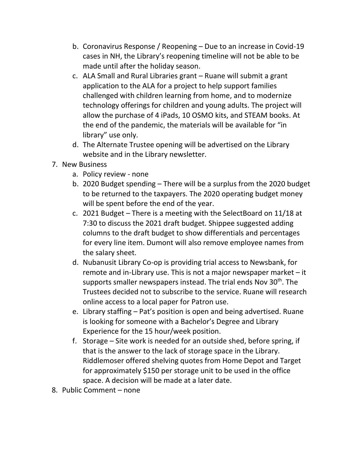- b. Coronavirus Response / Reopening Due to an increase in Covid-19 cases in NH, the Library's reopening timeline will not be able to be made until after the holiday season.
- c. ALA Small and Rural Libraries grant Ruane will submit a grant application to the ALA for a project to help support families challenged with children learning from home, and to modernize technology offerings for children and young adults. The project will allow the purchase of 4 iPads, 10 OSMO kits, and STEAM books. At the end of the pandemic, the materials will be available for "in library" use only.
- d. The Alternate Trustee opening will be advertised on the Library website and in the Library newsletter.
- 7. New Business
	- a. Policy review none
	- b. 2020 Budget spending There will be a surplus from the 2020 budget to be returned to the taxpayers. The 2020 operating budget money will be spent before the end of the year.
	- c. 2021 Budget There is a meeting with the SelectBoard on 11/18 at 7:30 to discuss the 2021 draft budget. Shippee suggested adding columns to the draft budget to show differentials and percentages for every line item. Dumont will also remove employee names from the salary sheet.
	- d. Nubanusit Library Co-op is providing trial access to Newsbank, for remote and in-Library use. This is not a major newspaper market – it supports smaller newspapers instead. The trial ends Nov 30<sup>th</sup>. The Trustees decided not to subscribe to the service. Ruane will research online access to a local paper for Patron use.
	- e. Library staffing Pat's position is open and being advertised. Ruane is looking for someone with a Bachelor's Degree and Library Experience for the 15 hour/week position.
	- f. Storage Site work is needed for an outside shed, before spring, if that is the answer to the lack of storage space in the Library. Riddlemoser offered shelving quotes from Home Depot and Target for approximately \$150 per storage unit to be used in the office space. A decision will be made at a later date.
- 8. Public Comment none